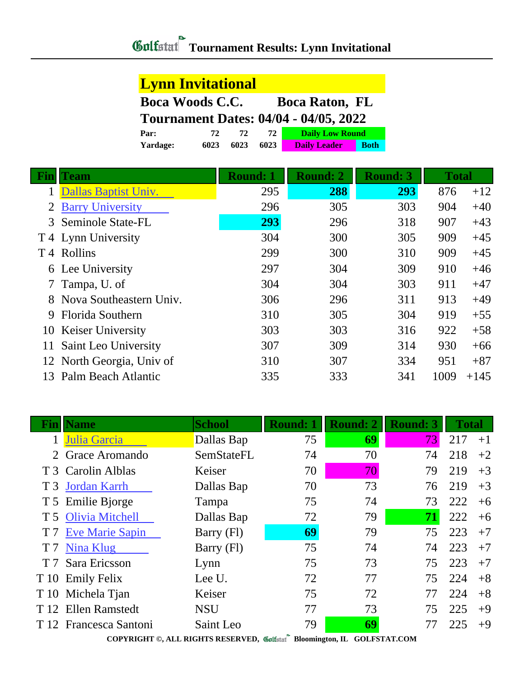## **Tournament Results: Lynn Invitational**

| <b>Lynn Invitational</b>                        |      |      |      |                                              |             |  |  |
|-------------------------------------------------|------|------|------|----------------------------------------------|-------------|--|--|
| <b>Boca Woods C.C.</b><br><b>Boca Raton, FL</b> |      |      |      |                                              |             |  |  |
|                                                 |      |      |      | <b>Tournament Dates: 04/04 - 04/05, 2022</b> |             |  |  |
| Par:                                            | 72   | 72   | 72   | <b>Daily Low Round</b>                       |             |  |  |
| Yardage:                                        | 6023 | 6023 | 6023 | <b>Daily Leader</b>                          | <b>Both</b> |  |  |

| Fin | <b>Team</b>               | <b>Round: 1</b> | <b>Round: 2</b> | <b>Round: 3</b> | <b>Total</b> |        |
|-----|---------------------------|-----------------|-----------------|-----------------|--------------|--------|
|     | Dallas Baptist Univ.      | 295             | 288             | 293             | 876          | $+12$  |
|     | <b>Barry University</b>   | 296             | 305             | 303             | 904          | $+40$  |
|     | 3 Seminole State-FL       | 293             | 296             | 318             | 907          | $+43$  |
|     | T 4 Lynn University       | 304             | 300             | 305             | 909          | $+45$  |
| T 4 | Rollins                   | 299             | 300             | 310             | 909          | $+45$  |
|     | 6 Lee University          | 297             | 304             | 309             | 910          | $+46$  |
|     | 7 Tampa, U. of            | 304             | 304             | 303             | 911          | $+47$  |
|     | Nova Southeastern Univ.   | 306             | 296             | 311             | 913          | $+49$  |
| 9   | Florida Southern          | 310             | 305             | 304             | 919          | $+55$  |
|     | 10 Keiser University      | 303             | 303             | 316             | 922          | $+58$  |
| 11  | Saint Leo University      | 307             | 309             | 314             | 930          | $+66$  |
|     | 12 North Georgia, Univ of | 310             | 307             | 334             | 951          | $+87$  |
| 13  | Palm Beach Atlantic       | 335             | 333             | 341             | 1009         | $+145$ |

| Fınl | <b>Name</b>            | <b>School</b> | <b>Round: 1</b> | <b>Round: 2</b> | <b>Round: 3</b> | <b>Total</b> |      |
|------|------------------------|---------------|-----------------|-----------------|-----------------|--------------|------|
|      | Julia Garcia           | Dallas Bap    | 75              | 69              | 73              | 217          | $+1$ |
|      | Grace Aromando         | SemStateFL    | 74              | 70              | 74              | 218          | $+2$ |
|      | T 3 Carolin Alblas     | Keiser        | 70              | 70              | 79              | 219          | $+3$ |
|      | T 3 Jordan Karrh       | Dallas Bap    | 70              | 73              | 76              | 219          | $+3$ |
|      | T 5 Emilie Bjorge      | Tampa         | 75              | 74              | 73              | 222          | $+6$ |
|      | T 5 Olivia Mitchell    | Dallas Bap    | 72              | 79              | 71              | 222          | $+6$ |
|      | T 7 Eve Marie Sapin    | Barry (Fl)    | 69              | 79              | 75              | 223          | $+7$ |
|      | T 7 Nina Klug          | Barry (Fl)    | 75              | 74              | 74              | 223          | $+7$ |
| T 7  | Sara Ericsson          | Lynn          | 75              | 73              | 75              | 223          | $+7$ |
|      | T 10 Emily Felix       | Lee U.        | 72              | 77              | 75              | 224          | $+8$ |
|      | T 10 Michela Tjan      | Keiser        | 75              | 72              | 77              | 224          | $+8$ |
|      | T 12 Ellen Ramstedt    | <b>NSU</b>    | 77              | 73              | 75              | 225          | $+9$ |
|      | T 12 Francesca Santoni | Saint Leo     | 79              | 69              |                 | 225          | $+9$ |

**COPYRIGHT ©, ALL RIGHTS RESERVED, Bloomington, IL GOLFSTAT.COM**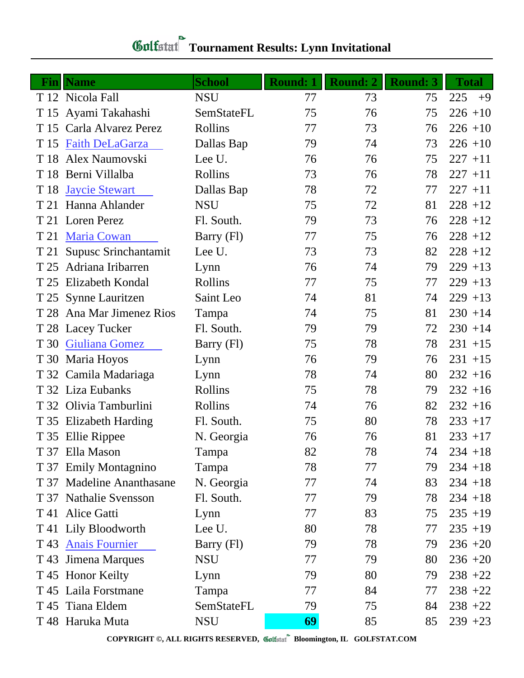| <b>Gulfatat</b> Tournament Results: Lynn Invitationa' |  |
|-------------------------------------------------------|--|

|      | <b>Fin</b>   Name         | <b>School</b> | <b>Round: 1</b> | <b>Round: 2</b> | <b>Round: 3</b> | <b>Total</b> |
|------|---------------------------|---------------|-----------------|-----------------|-----------------|--------------|
|      | T 12 Nicola Fall          | <b>NSU</b>    | 77              | 73              | 75              | 225<br>$+9$  |
|      | T 15 Ayami Takahashi      | SemStateFL    | 75              | 76              | 75              | $226 + 10$   |
|      | T 15 Carla Alvarez Perez  | Rollins       | 77              | 73              | 76              | $226 + 10$   |
| T 15 | <b>Faith DeLaGarza</b>    | Dallas Bap    | 79              | 74              | 73              | $226 + 10$   |
|      | T 18 Alex Naumovski       | Lee U.        | 76              | 76              | 75              | $227 + 11$   |
|      | T 18 Berni Villalba       | Rollins       | 73              | 76              | 78              | $227 + 11$   |
|      | T 18 Jaycie Stewart       | Dallas Bap    | 78              | 72              | 77              | $227 + 11$   |
|      | T 21 Hanna Ahlander       | <b>NSU</b>    | 75              | 72              | 81              | $228 + 12$   |
|      | T 21 Loren Perez          | Fl. South.    | 79              | 73              | 76              | $228 + 12$   |
| T 21 | <b>Maria Cowan</b>        | Barry (Fl)    | 77              | 75              | 76              | $228 + 12$   |
|      | T 21 Supusc Srinchantamit | Lee U.        | 73              | 73              | 82              | $228 + 12$   |
| T 25 | Adriana Iribarren         | Lynn          | 76              | 74              | 79              | $229 + 13$   |
|      | T 25 Elizabeth Kondal     | Rollins       | 77              | 75              | 77              | $229 + 13$   |
|      | T 25 Synne Lauritzen      | Saint Leo     | 74              | 81              | 74              | $229 + 13$   |
|      | T 28 Ana Mar Jimenez Rios | Tampa         | 74              | 75              | 81              | $230 + 14$   |
|      | T 28 Lacey Tucker         | Fl. South.    | 79              | 79              | 72              | $230 + 14$   |
|      | T 30 Giuliana Gomez       | Barry (Fl)    | 75              | 78              | 78              | $231 + 15$   |
|      | T 30 Maria Hoyos          | Lynn          | 76              | 79              | 76              | $231 + 15$   |
|      | T 32 Camila Madariaga     | Lynn          | 78              | 74              | 80              | $232 + 16$   |
|      | T 32 Liza Eubanks         | Rollins       | 75              | 78              | 79              | $232 + 16$   |
|      | T 32 Olivia Tamburlini    | Rollins       | 74              | 76              | 82              | $232 + 16$   |
|      | T 35 Elizabeth Harding    | Fl. South.    | 75              | 80              | 78              | $233 + 17$   |
|      | T 35 Ellie Rippee         | N. Georgia    | 76              | 76              | 81              | $233 + 17$   |
|      | T 37 Ella Mason           | Tampa         | 82              | 78              | 74              | $234 + 18$   |
|      | T 37 Emily Montagnino     | Tampa         | 78              | 77              | 79              | $234 + 18$   |
|      | T 37 Madeline Ananthasane | N. Georgia    | 77              | 74              | 83              | $234 + 18$   |
|      | T 37 Nathalie Svensson    | Fl. South.    | 77              | 79              | 78              | $234 + 18$   |
|      | T 41 Alice Gatti          | Lynn          | 77              | 83              | 75              | $235 + 19$   |
|      | T 41 Lily Bloodworth      | Lee U.        | 80              | 78              | 77              | $235 + 19$   |
|      | T 43 Anais Fournier       | Barry (Fl)    | 79              | 78              | 79              | $236 + 20$   |
|      | T 43 Jimena Marques       | <b>NSU</b>    | 77              | 79              | 80              | $236 + 20$   |
|      | T 45 Honor Keilty         | Lynn          | 79              | 80              | 79              | $238 + 22$   |
|      | T 45 Laila Forstmane      | Tampa         | 77              | 84              | 77              | $238 + 22$   |
|      | T 45 Tiana Eldem          | SemStateFL    | 79              | 75              | 84              | $238 + 22$   |
|      | T 48 Haruka Muta          | <b>NSU</b>    | 69              | 85              | 85              | $239 + 23$   |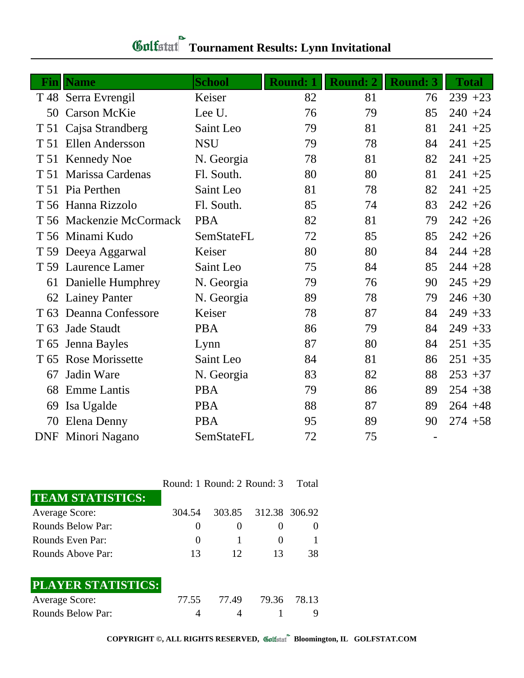| Finll           | <b>Name</b>              | <b>School</b> | <b>Round: 1</b> | <b>Round: 2</b> | <b>Round: 3</b> | <b>Total</b> |
|-----------------|--------------------------|---------------|-----------------|-----------------|-----------------|--------------|
|                 | T 48 Serra Evrengil      | Keiser        | 82              | 81              | 76              | $239 + 23$   |
| 50              | <b>Carson McKie</b>      | Lee U.        | 76              | 79              | 85              | $240 + 24$   |
| T 51            | Cajsa Strandberg         | Saint Leo     | 79              | 81              | 81              | $241 + 25$   |
|                 | T 51 Ellen Andersson     | <b>NSU</b>    | 79              | 78              | 84              | $241 + 25$   |
|                 | T 51 Kennedy Noe         | N. Georgia    | 78              | 81              | 82              | $241 + 25$   |
|                 | T 51 Marissa Cardenas    | Fl. South.    | 80              | 80              | 81              | $241 + 25$   |
|                 | T 51 Pia Perthen         | Saint Leo     | 81              | 78              | 82              | $241 + 25$   |
|                 | T 56 Hanna Rizzolo       | Fl. South.    | 85              | 74              | 83              | $242 + 26$   |
|                 | T 56 Mackenzie McCormack | <b>PBA</b>    | 82              | 81              | 79              | $242 + 26$   |
|                 | T 56 Minami Kudo         | SemStateFL    | 72              | 85              | 85              | $242 + 26$   |
|                 | T 59 Deeya Aggarwal      | Keiser        | 80              | 80              | 84              | $244 + 28$   |
|                 | T 59 Laurence Lamer      | Saint Leo     | 75              | 84              | 85              | $244 + 28$   |
| 61              | Danielle Humphrey        | N. Georgia    | 79              | 76              | 90              | $245 + 29$   |
|                 | 62 Lainey Panter         | N. Georgia    | 89              | 78              | 79              | $246 + 30$   |
| T <sub>63</sub> | Deanna Confessore        | Keiser        | 78              | 87              | 84              | $249 + 33$   |
| T <sub>63</sub> | <b>Jade Staudt</b>       | <b>PBA</b>    | 86              | 79              | 84              | $249 + 33$   |
|                 | T 65 Jenna Bayles        | Lynn          | 87              | 80              | 84              | $251 + 35$   |
| T 65            | <b>Rose Morissette</b>   | Saint Leo     | 84              | 81              | 86              | $251 + 35$   |
| 67              | Jadin Ware               | N. Georgia    | 83              | 82              | 88              | $253 + 37$   |
| 68              | <b>Emme</b> Lantis       | <b>PBA</b>    | 79              | 86              | 89              | $254 + 38$   |
| 69              | Isa Ugalde               | <b>PBA</b>    | 88              | 87              | 89              | $264 + 48$   |
| 70              | Elena Denny              | <b>PBA</b>    | 95              | 89              | 90              | $274 + 58$   |
| <b>DNF</b>      | Minori Nagano            | SemStateFL    | 72              | 75              | $\blacksquare$  |              |

| <b>Gulfatat</b> Tournament Results: Lynn Invitational |
|-------------------------------------------------------|

|                          |        | Round: 1 Round: 2 Round: 3 |               | - Total |
|--------------------------|--------|----------------------------|---------------|---------|
| <b>TEAM STATISTICS:</b>  |        |                            |               |         |
| <b>Average Score:</b>    | 304.54 | 303.85                     | 312.38 306.92 |         |
| <b>Rounds Below Par:</b> |        | O                          |               |         |
| Rounds Even Par:         |        |                            |               |         |
| Rounds Above Par:        | 13     | 12                         | 13            | 38      |
| PLAYER STATISTICS:       |        |                            |               |         |
| <b>Average Score:</b>    | 77.55  | 77.49                      | 79.36         | 78.13   |
| <b>Rounds Below Par:</b> |        |                            |               |         |